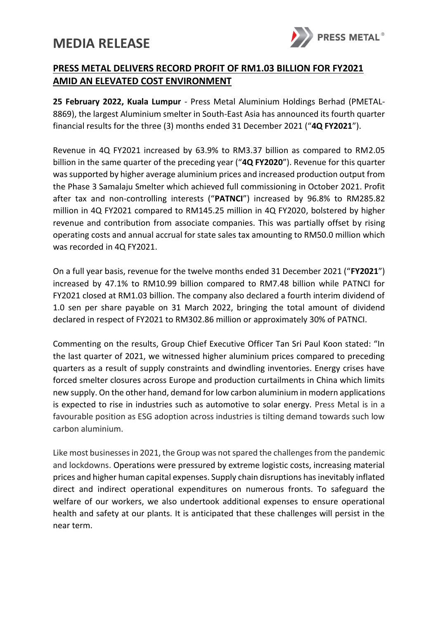## **MEDIA RELEASE**



## **PRESS METAL DELIVERS RECORD PROFIT OF RM1.03 BILLION FOR FY2021 AMID AN ELEVATED COST ENVIRONMENT**

**25 February 2022, Kuala Lumpur** - Press Metal Aluminium Holdings Berhad (PMETAL-8869), the largest Aluminium smelter in South-East Asia has announced its fourth quarter financial results for the three (3) months ended 31 December 2021 ("**4Q FY2021**").

Revenue in 4Q FY2021 increased by 63.9% to RM3.37 billion as compared to RM2.05 billion in the same quarter of the preceding year ("**4Q FY2020**"). Revenue for this quarter was supported by higher average aluminium prices and increased production output from the Phase 3 Samalaju Smelter which achieved full commissioning in October 2021. Profit after tax and non-controlling interests ("**PATNCI**") increased by 96.8% to RM285.82 million in 4Q FY2021 compared to RM145.25 million in 4Q FY2020, bolstered by higher revenue and contribution from associate companies. This was partially offset by rising operating costs and annual accrual for state sales tax amounting to RM50.0 million which was recorded in 4Q FY2021.

On a full year basis, revenue for the twelve months ended 31 December 2021 ("**FY2021**") increased by 47.1% to RM10.99 billion compared to RM7.48 billion while PATNCI for FY2021 closed at RM1.03 billion. The company also declared a fourth interim dividend of 1.0 sen per share payable on 31 March 2022, bringing the total amount of dividend declared in respect of FY2021 to RM302.86 million or approximately 30% of PATNCI.

Commenting on the results, Group Chief Executive Officer Tan Sri Paul Koon stated: "In the last quarter of 2021, we witnessed higher aluminium prices compared to preceding quarters as a result of supply constraints and dwindling inventories. Energy crises have forced smelter closures across Europe and production curtailments in China which limits new supply. On the other hand, demand for low carbon aluminium in modern applications is expected to rise in industries such as automotive to solar energy. Press Metal is in a favourable position as ESG adoption across industries is tilting demand towards such low carbon aluminium.

Like most businesses in 2021, the Group was not spared the challenges from the pandemic and lockdowns. Operations were pressured by extreme logistic costs, increasing material prices and higher human capital expenses. Supply chain disruptions has inevitably inflated direct and indirect operational expenditures on numerous fronts. To safeguard the welfare of our workers, we also undertook additional expenses to ensure operational health and safety at our plants. It is anticipated that these challenges will persist in the near term.